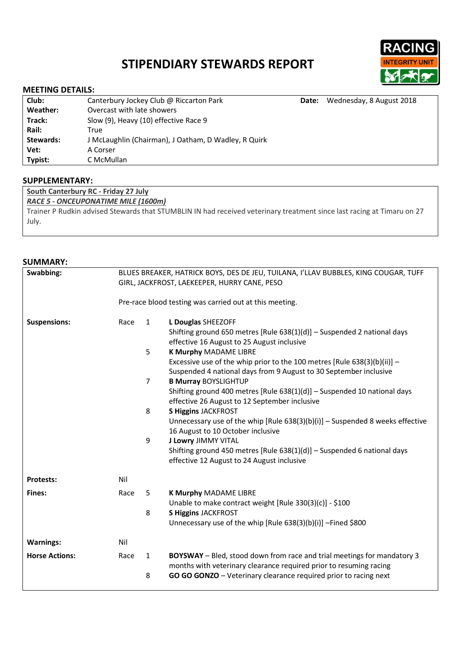# **STIPENDIARY STEWARDS REPORT**



# **MEETING DETAILS:**

| Club:     | Canterbury Jockey Club @ Riccarton Park              | Date: | Wednesday, 8 August 2018 |  |
|-----------|------------------------------------------------------|-------|--------------------------|--|
| Weather:  | Overcast with late showers                           |       |                          |  |
| Track:    | Slow (9), Heavy (10) effective Race 9                |       |                          |  |
| Rail:     | True                                                 |       |                          |  |
| Stewards: | J McLaughlin (Chairman), J Oatham, D Wadley, R Quirk |       |                          |  |
| Vet:      | A Corser                                             |       |                          |  |
| Typist:   | C McMullan                                           |       |                          |  |
|           |                                                      |       |                          |  |

# **SUPPLEMENTARY:**

**South Canterbury RC - Friday 27 July**

*RACE 5 - ONCEUPONATIME MILE (1600m)*

Trainer P Rudkin advised Stewards that STUMBLIN IN had received veterinary treatment since last racing at Timaru on 27 July.

# **SUMMARY:**

| Swabbing:             | BLUES BREAKER, HATRICK BOYS, DES DE JEU, TUILANA, I'LLAV BUBBLES, KING COUGAR, TUFF<br>GIRL, JACKFROST, LAEKEEPER, HURRY CANE, PESO |                   |                                                                                                                                                                                                                   |  |  |
|-----------------------|-------------------------------------------------------------------------------------------------------------------------------------|-------------------|-------------------------------------------------------------------------------------------------------------------------------------------------------------------------------------------------------------------|--|--|
|                       | Pre-race blood testing was carried out at this meeting.                                                                             |                   |                                                                                                                                                                                                                   |  |  |
| <b>Suspensions:</b>   | Race                                                                                                                                | $\mathbf{1}$      | L Douglas SHEEZOFF<br>Shifting ground 650 metres [Rule 638(1)(d)] - Suspended 2 national days<br>effective 16 August to 25 August inclusive                                                                       |  |  |
|                       |                                                                                                                                     | 5                 | K Murphy MADAME LIBRE<br>Excessive use of the whip prior to the 100 metres [Rule $638(3)(b)(ii)$ ] –<br>Suspended 4 national days from 9 August to 30 September inclusive                                         |  |  |
|                       |                                                                                                                                     | $\overline{7}$    | <b>B Murray BOYSLIGHTUP</b><br>Shifting ground 400 metres [Rule 638(1)(d)] - Suspended 10 national days<br>effective 26 August to 12 September inclusive                                                          |  |  |
|                       |                                                                                                                                     | 8                 | <b>S Higgins JACKFROST</b><br>Unnecessary use of the whip [Rule $638(3)(b)(i)$ ] – Suspended 8 weeks effective<br>16 August to 10 October inclusive                                                               |  |  |
|                       |                                                                                                                                     | 9                 | <b>J Lowry JIMMY VITAL</b><br>Shifting ground 450 metres [Rule $638(1)(d)$ ] – Suspended 6 national days<br>effective 12 August to 24 August inclusive                                                            |  |  |
| <b>Protests:</b>      | Nil                                                                                                                                 |                   |                                                                                                                                                                                                                   |  |  |
| Fines:                | Race                                                                                                                                | 5<br>8            | K Murphy MADAME LIBRE<br>Unable to make contract weight [Rule 330(3)(c)] - \$100<br><b>S Higgins JACKFROST</b>                                                                                                    |  |  |
|                       |                                                                                                                                     |                   | Unnecessary use of the whip [Rule 638(3)(b)(i)] -Fined \$800                                                                                                                                                      |  |  |
| <b>Warnings:</b>      | Nil                                                                                                                                 |                   |                                                                                                                                                                                                                   |  |  |
| <b>Horse Actions:</b> | Race                                                                                                                                | $\mathbf{1}$<br>8 | BOYSWAY - Bled, stood down from race and trial meetings for mandatory 3<br>months with veterinary clearance required prior to resuming racing<br>GO GO GONZO - Veterinary clearance required prior to racing next |  |  |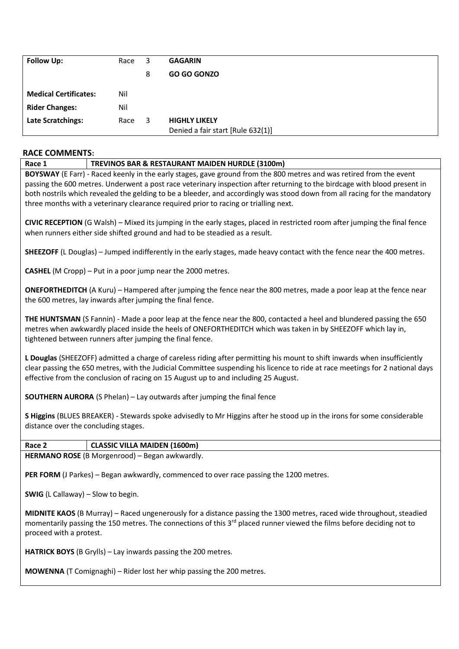| <b>Follow Up:</b>            | Race | 3 | <b>GAGARIN</b>                    |
|------------------------------|------|---|-----------------------------------|
|                              |      | 8 | <b>GO GO GONZO</b>                |
| <b>Medical Certificates:</b> | Nil  |   |                                   |
| <b>Rider Changes:</b>        | Nil  |   |                                   |
| Late Scratchings:            | Race | 3 | <b>HIGHLY LIKELY</b>              |
|                              |      |   | Denied a fair start [Rule 632(1)] |

# **RACE COMMENTS:**

**Race 1 TREVINOS BAR & RESTAURANT MAIDEN HURDLE (3100m)**

**BOYSWAY** (E Farr) - Raced keenly in the early stages, gave ground from the 800 metres and was retired from the event passing the 600 metres. Underwent a post race veterinary inspection after returning to the birdcage with blood present in both nostrils which revealed the gelding to be a bleeder, and accordingly was stood down from all racing for the mandatory three months with a veterinary clearance required prior to racing or trialling next.

**CIVIC RECEPTION** (G Walsh) – Mixed its jumping in the early stages, placed in restricted room after jumping the final fence when runners either side shifted ground and had to be steadied as a result.

**SHEEZOFF** (L Douglas) – Jumped indifferently in the early stages, made heavy contact with the fence near the 400 metres.

**CASHEL** (M Cropp) – Put in a poor jump near the 2000 metres.

**ONEFORTHEDITCH** (A Kuru) – Hampered after jumping the fence near the 800 metres, made a poor leap at the fence near the 600 metres, lay inwards after jumping the final fence.

**THE HUNTSMAN** (S Fannin) - Made a poor leap at the fence near the 800, contacted a heel and blundered passing the 650 metres when awkwardly placed inside the heels of ONEFORTHEDITCH which was taken in by SHEEZOFF which lay in, tightened between runners after jumping the final fence.

**L Douglas** (SHEEZOFF) admitted a charge of careless riding after permitting his mount to shift inwards when insufficiently clear passing the 650 metres, with the Judicial Committee suspending his licence to ride at race meetings for 2 national days effective from the conclusion of racing on 15 August up to and including 25 August.

**SOUTHERN AURORA** (S Phelan) – Lay outwards after jumping the final fence

**S Higgins** (BLUES BREAKER) - Stewards spoke advisedly to Mr Higgins after he stood up in the irons for some considerable distance over the concluding stages.

**Race 2 CLASSIC VILLA MAIDEN (1600m) HERMANO ROSE** (B Morgenrood) – Began awkwardly.

PER FORM (J Parkes) – Began awkwardly, commenced to over race passing the 1200 metres.

**SWIG** (L Callaway) – Slow to begin.

**MIDNITE KAOS** (B Murray) – Raced ungenerously for a distance passing the 1300 metres, raced wide throughout, steadied momentarily passing the 150 metres. The connections of this 3<sup>rd</sup> placed runner viewed the films before deciding not to proceed with a protest.

**HATRICK BOYS** (B Grylls) – Lay inwards passing the 200 metres.

**MOWENNA** (T Comignaghi) – Rider lost her whip passing the 200 metres.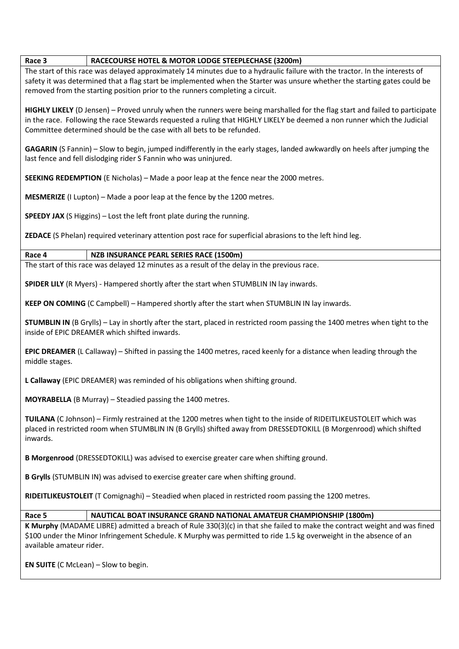#### **Race 3 RACECOURSE HOTEL & MOTOR LODGE STEEPLECHASE (3200m)**

The start of this race was delayed approximately 14 minutes due to a hydraulic failure with the tractor. In the interests of safety it was determined that a flag start be implemented when the Starter was unsure whether the starting gates could be removed from the starting position prior to the runners completing a circuit.

**HIGHLY LIKELY** (D Jensen) – Proved unruly when the runners were being marshalled for the flag start and failed to participate in the race. Following the race Stewards requested a ruling that HIGHLY LIKELY be deemed a non runner which the Judicial Committee determined should be the case with all bets to be refunded.

**GAGARIN** (S Fannin) – Slow to begin, jumped indifferently in the early stages, landed awkwardly on heels after jumping the last fence and fell dislodging rider S Fannin who was uninjured.

**SEEKING REDEMPTION** (E Nicholas) – Made a poor leap at the fence near the 2000 metres.

**MESMERIZE** (I Lupton) – Made a poor leap at the fence by the 1200 metres.

**SPEEDY JAX** (S Higgins) – Lost the left front plate during the running.

**ZEDACE** (S Phelan) required veterinary attention post race for superficial abrasions to the left hind leg.

### **Race 4 NZB INSURANCE PEARL SERIES RACE (1500m)**

The start of this race was delayed 12 minutes as a result of the delay in the previous race.

**SPIDER LILY** (R Myers) - Hampered shortly after the start when STUMBLIN IN lay inwards.

**KEEP ON COMING** (C Campbell) – Hampered shortly after the start when STUMBLIN IN lay inwards.

**STUMBLIN IN** (B Grylls) – Lay in shortly after the start, placed in restricted room passing the 1400 metres when tight to the inside of EPIC DREAMER which shifted inwards.

**EPIC DREAMER** (L Callaway) – Shifted in passing the 1400 metres, raced keenly for a distance when leading through the middle stages.

**L Callaway** (EPIC DREAMER) was reminded of his obligations when shifting ground.

**MOYRABELLA** (B Murray) – Steadied passing the 1400 metres.

**TUILANA** (C Johnson) – Firmly restrained at the 1200 metres when tight to the inside of RIDEITLIKEUSTOLEIT which was placed in restricted room when STUMBLIN IN (B Grylls) shifted away from DRESSEDTOKILL (B Morgenrood) which shifted inwards.

**B Morgenrood** (DRESSEDTOKILL) was advised to exercise greater care when shifting ground.

**B Grylls** (STUMBLIN IN) was advised to exercise greater care when shifting ground.

**RIDEITLIKEUSTOLEIT** (T Comignaghi) – Steadied when placed in restricted room passing the 1200 metres.

### **Race 5 NAUTICAL BOAT INSURANCE GRAND NATIONAL AMATEUR CHAMPIONSHIP (1800m)**

**K Murphy** (MADAME LIBRE) admitted a breach of Rule 330(3)(c) in that she failed to make the contract weight and was fined \$100 under the Minor Infringement Schedule. K Murphy was permitted to ride 1.5 kg overweight in the absence of an available amateur rider.

**EN SUITE** (C McLean) – Slow to begin.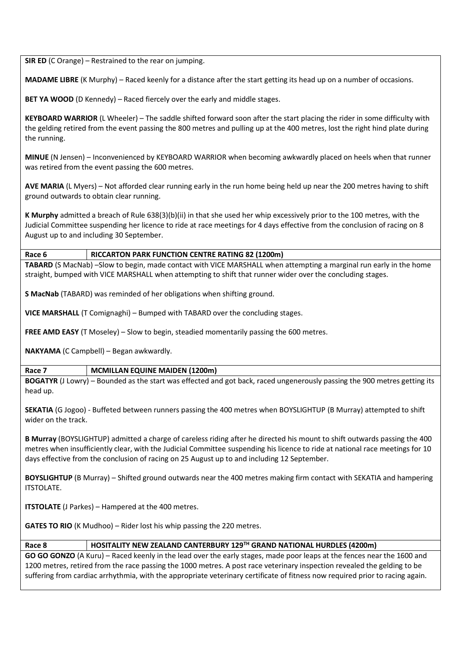**SIR ED** (C Orange) – Restrained to the rear on jumping.

**MADAME LIBRE** (K Murphy) – Raced keenly for a distance after the start getting its head up on a number of occasions.

**BET YA WOOD** (D Kennedy) – Raced fiercely over the early and middle stages.

**KEYBOARD WARRIOR** (L Wheeler) – The saddle shifted forward soon after the start placing the rider in some difficulty with the gelding retired from the event passing the 800 metres and pulling up at the 400 metres, lost the right hind plate during the running.

**MINUE** (N Jensen) – Inconvenienced by KEYBOARD WARRIOR when becoming awkwardly placed on heels when that runner was retired from the event passing the 600 metres.

**AVE MARIA** (L Myers) – Not afforded clear running early in the run home being held up near the 200 metres having to shift ground outwards to obtain clear running.

**K Murphy** admitted a breach of Rule 638(3)(b)(ii) in that she used her whip excessively prior to the 100 metres, with the Judicial Committee suspending her licence to ride at race meetings for 4 days effective from the conclusion of racing on 8 August up to and including 30 September.

# **Race 6 RICCARTON PARK FUNCTION CENTRE RATING 82 (1200m)**

**TABARD** (S MacNab) –Slow to begin, made contact with VICE MARSHALL when attempting a marginal run early in the home straight, bumped with VICE MARSHALL when attempting to shift that runner wider over the concluding stages.

**S MacNab** (TABARD) was reminded of her obligations when shifting ground.

**VICE MARSHALL** (T Comignaghi) – Bumped with TABARD over the concluding stages.

**FREE AMD EASY** (T Moseley) – Slow to begin, steadied momentarily passing the 600 metres.

**NAKYAMA** (C Campbell) – Began awkwardly.

### **Race 7 MCMILLAN EQUINE MAIDEN (1200m)**

**BOGATYR** (J Lowry) – Bounded as the start was effected and got back, raced ungenerously passing the 900 metres getting its head up.

**SEKATIA** (G Jogoo) - Buffeted between runners passing the 400 metres when BOYSLIGHTUP (B Murray) attempted to shift wider on the track.

**B Murray** (BOYSLIGHTUP) admitted a charge of careless riding after he directed his mount to shift outwards passing the 400 metres when insufficiently clear, with the Judicial Committee suspending his licence to ride at national race meetings for 10 days effective from the conclusion of racing on 25 August up to and including 12 September.

**BOYSLIGHTUP** (B Murray) – Shifted ground outwards near the 400 metres making firm contact with SEKATIA and hampering ITSTOLATE.

**ITSTOLATE** (J Parkes) – Hampered at the 400 metres.

**GATES TO RIO** (K Mudhoo) – Rider lost his whip passing the 220 metres.

### **Race 8 HOSITALITY NEW ZEALAND CANTERBURY 129TH GRAND NATIONAL HURDLES (4200m)**

**GO GO GONZO** (A Kuru) – Raced keenly in the lead over the early stages, made poor leaps at the fences near the 1600 and 1200 metres, retired from the race passing the 1000 metres. A post race veterinary inspection revealed the gelding to be suffering from cardiac arrhythmia, with the appropriate veterinary certificate of fitness now required prior to racing again.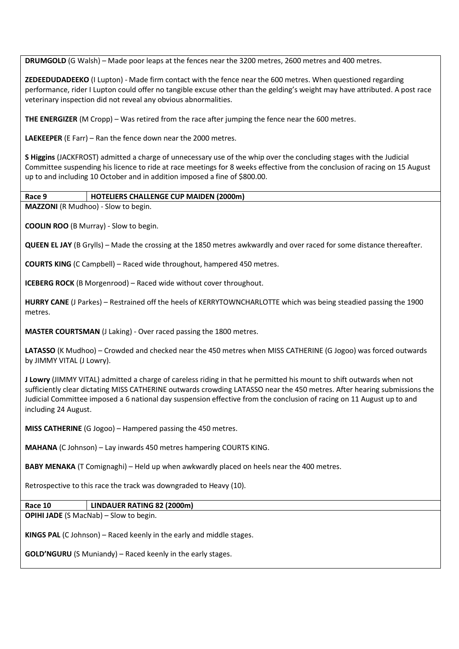**DRUMGOLD** (G Walsh) – Made poor leaps at the fences near the 3200 metres, 2600 metres and 400 metres.

**ZEDEEDUDADEEKO** (I Lupton) - Made firm contact with the fence near the 600 metres. When questioned regarding performance, rider I Lupton could offer no tangible excuse other than the gelding's weight may have attributed. A post race veterinary inspection did not reveal any obvious abnormalities.

**THE ENERGIZER** (M Cropp) – Was retired from the race after jumping the fence near the 600 metres.

**LAEKEEPER** (E Farr) – Ran the fence down near the 2000 metres.

**S Higgins** (JACKFROST) admitted a charge of unnecessary use of the whip over the concluding stages with the Judicial Committee suspending his licence to ride at race meetings for 8 weeks effective from the conclusion of racing on 15 August up to and including 10 October and in addition imposed a fine of \$800.00.

# **Race 9 HOTELIERS CHALLENGE CUP MAIDEN (2000m)**

**MAZZONI** (R Mudhoo) - Slow to begin.

**COOLIN ROO** (B Murray) - Slow to begin.

**QUEEN EL JAY** (B Grylls) – Made the crossing at the 1850 metres awkwardly and over raced for some distance thereafter.

**COURTS KING** (C Campbell) – Raced wide throughout, hampered 450 metres.

**ICEBERG ROCK** (B Morgenrood) – Raced wide without cover throughout.

**HURRY CANE** (J Parkes) – Restrained off the heels of KERRYTOWNCHARLOTTE which was being steadied passing the 1900 metres.

**MASTER COURTSMAN** (J Laking) - Over raced passing the 1800 metres.

**LATASSO** (K Mudhoo) – Crowded and checked near the 450 metres when MISS CATHERINE (G Jogoo) was forced outwards by JIMMY VITAL (J Lowry).

**J Lowry** (JIMMY VITAL) admitted a charge of careless riding in that he permitted his mount to shift outwards when not sufficiently clear dictating MISS CATHERINE outwards crowding LATASSO near the 450 metres. After hearing submissions the Judicial Committee imposed a 6 national day suspension effective from the conclusion of racing on 11 August up to and including 24 August.

**MISS CATHERINE** (G Jogoo) – Hampered passing the 450 metres.

**MAHANA** (C Johnson) – Lay inwards 450 metres hampering COURTS KING.

**BABY MENAKA** (T Comignaghi) – Held up when awkwardly placed on heels near the 400 metres.

Retrospective to this race the track was downgraded to Heavy (10).

**Race 10 LINDAUER RATING 82 (2000m)**

**OPIHI JADE** (S MacNab) – Slow to begin.

**KINGS PAL** (C Johnson) – Raced keenly in the early and middle stages.

**GOLD'NGURU** (S Muniandy) – Raced keenly in the early stages.